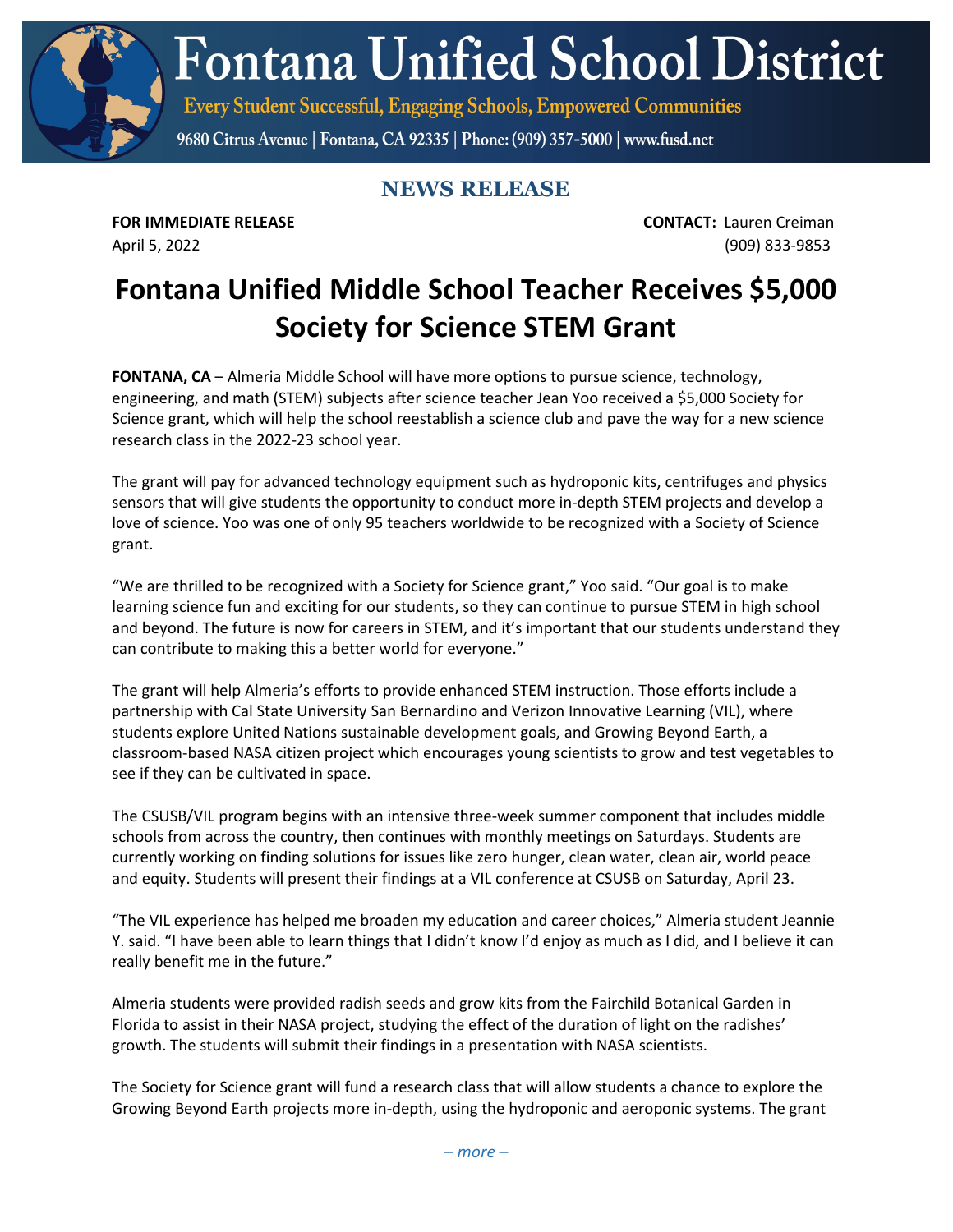**Fontana Unified School District** 

Every Student Successful, Engaging Schools, Empowered Communities

9680 Citrus Avenue | Fontana, CA 92335 | Phone: (909) 357-5000 | www.fusd.net

## **NEWS RELEASE**

**FOR IMMEDIATE RELEASE CONTACT:** Lauren Creiman April 5, 2022 (909) 833-9853

## **Fontana Unified Middle School Teacher Receives \$5,000 Society for Science STEM Grant**

**FONTANA, CA** – Almeria Middle School will have more options to pursue science, technology, engineering, and math (STEM) subjects after science teacher Jean Yoo received a \$5,000 Society for Science grant, which will help the school reestablish a science club and pave the way for a new science research class in the 2022-23 school year.

The grant will pay for advanced technology equipment such as hydroponic kits, centrifuges and physics sensors that will give students the opportunity to conduct more in-depth STEM projects and develop a love of science. Yoo was one of only 95 teachers worldwide to be recognized with a Society of Science grant.

"We are thrilled to be recognized with a Society for Science grant," Yoo said. "Our goal is to make learning science fun and exciting for our students, so they can continue to pursue STEM in high school and beyond. The future is now for careers in STEM, and it's important that our students understand they can contribute to making this a better world for everyone."

The grant will help Almeria's efforts to provide enhanced STEM instruction. Those efforts include a partnership with Cal State University San Bernardino and Verizon Innovative Learning (VIL), where students explore United Nations sustainable development goals, and Growing Beyond Earth, a classroom-based NASA citizen project which encourages young scientists to grow and test vegetables to see if they can be cultivated in space.

The CSUSB/VIL program begins with an intensive three-week summer component that includes middle schools from across the country, then continues with monthly meetings on Saturdays. Students are currently working on finding solutions for issues like zero hunger, clean water, clean air, world peace and equity. Students will present their findings at a VIL conference at CSUSB on Saturday, April 23.

"The VIL experience has helped me broaden my education and career choices," Almeria student Jeannie Y. said. "I have been able to learn things that I didn't know I'd enjoy as much as I did, and I believe it can really benefit me in the future."

Almeria students were provided radish seeds and grow kits from the Fairchild Botanical Garden in Florida to assist in their NASA project, studying the effect of the duration of light on the radishes' growth. The students will submit their findings in a presentation with NASA scientists.

The Society for Science grant will fund a research class that will allow students a chance to explore the Growing Beyond Earth projects more in-depth, using the hydroponic and aeroponic systems. The grant